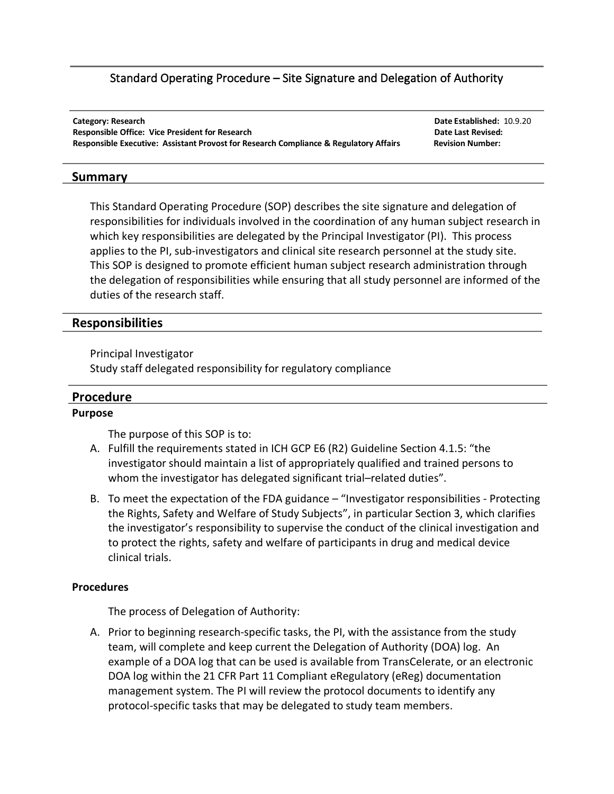# Standard Operating Procedure – Site Signature and Delegation of Authority

**Category: Research Date Established:** 10.9.20 **Responsible Office: Vice President for Research <b>Date Last Revised: Date Last Revised: Date Last Revised: Responsible Executive: Assistant Provost for Research Compliance & Regulatory Affairs Revision Number:** 

### **Summary**

This Standard Operating Procedure (SOP) describes the site signature and delegation of responsibilities for individuals involved in the coordination of any human subject research in which key responsibilities are delegated by the Principal Investigator (PI). This process applies to the PI, sub-investigators and clinical site research personnel at the study site. This SOP is designed to promote efficient human subject research administration through the delegation of responsibilities while ensuring that all study personnel are informed of the duties of the research staff.

# **Responsibilities**

Principal Investigator

Study staff delegated responsibility for regulatory compliance

# **Procedure**

### **Purpose**

The purpose of this SOP is to:

- A. Fulfill the requirements stated in ICH GCP E6 (R2) Guideline Section 4.1.5: "the investigator should maintain a list of appropriately qualified and trained persons to whom the investigator has delegated significant trial–related duties".
- B. To meet the expectation of the FDA guidance "Investigator responsibilities Protecting the Rights, Safety and Welfare of Study Subjects", in particular Section 3, which clarifies the investigator's responsibility to supervise the conduct of the clinical investigation and to protect the rights, safety and welfare of participants in drug and medical device clinical trials.

### **Procedures**

The process of Delegation of Authority:

A. Prior to beginning research-specific tasks, the PI, with the assistance from the study team, will complete and keep current the Delegation of Authority (DOA) log. An example of a DOA log that can be used is available from TransCelerate, or an electronic DOA log within the 21 CFR Part 11 Compliant eRegulatory (eReg) documentation management system. The PI will review the protocol documents to identify any protocol-specific tasks that may be delegated to study team members.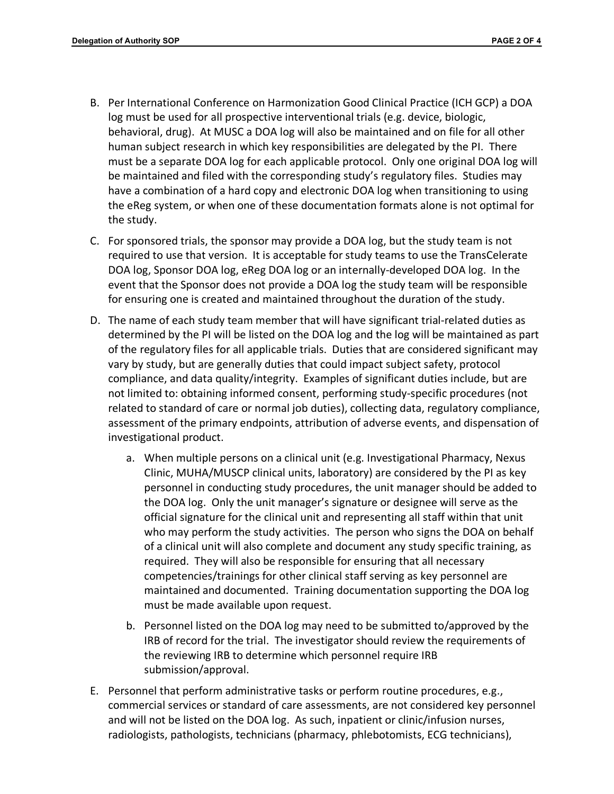- B. Per International Conference on Harmonization Good Clinical Practice (ICH GCP) a DOA log must be used for all prospective interventional trials (e.g. device, biologic, behavioral, drug). At MUSC a DOA log will also be maintained and on file for all other human subject research in which key responsibilities are delegated by the PI. There must be a separate DOA log for each applicable protocol. Only one original DOA log will be maintained and filed with the corresponding study's regulatory files. Studies may have a combination of a hard copy and electronic DOA log when transitioning to using the eReg system, or when one of these documentation formats alone is not optimal for the study.
- C. For sponsored trials, the sponsor may provide a DOA log, but the study team is not required to use that version. It is acceptable for study teams to use the TransCelerate DOA log, Sponsor DOA log, eReg DOA log or an internally-developed DOA log. In the event that the Sponsor does not provide a DOA log the study team will be responsible for ensuring one is created and maintained throughout the duration of the study.
- D. The name of each study team member that will have significant trial-related duties as determined by the PI will be listed on the DOA log and the log will be maintained as part of the regulatory files for all applicable trials. Duties that are considered significant may vary by study, but are generally duties that could impact subject safety, protocol compliance, and data quality/integrity. Examples of significant duties include, but are not limited to: obtaining informed consent, performing study-specific procedures (not related to standard of care or normal job duties), collecting data, regulatory compliance, assessment of the primary endpoints, attribution of adverse events, and dispensation of investigational product.
	- a. When multiple persons on a clinical unit (e.g. Investigational Pharmacy, Nexus Clinic, MUHA/MUSCP clinical units, laboratory) are considered by the PI as key personnel in conducting study procedures, the unit manager should be added to the DOA log. Only the unit manager's signature or designee will serve as the official signature for the clinical unit and representing all staff within that unit who may perform the study activities. The person who signs the DOA on behalf of a clinical unit will also complete and document any study specific training, as required. They will also be responsible for ensuring that all necessary competencies/trainings for other clinical staff serving as key personnel are maintained and documented. Training documentation supporting the DOA log must be made available upon request.
	- b. Personnel listed on the DOA log may need to be submitted to/approved by the IRB of record for the trial. The investigator should review the requirements of the reviewing IRB to determine which personnel require IRB submission/approval.
- E. Personnel that perform administrative tasks or perform routine procedures, e.g., commercial services or standard of care assessments, are not considered key personnel and will not be listed on the DOA log. As such, inpatient or clinic/infusion nurses, radiologists, pathologists, technicians (pharmacy, phlebotomists, ECG technicians),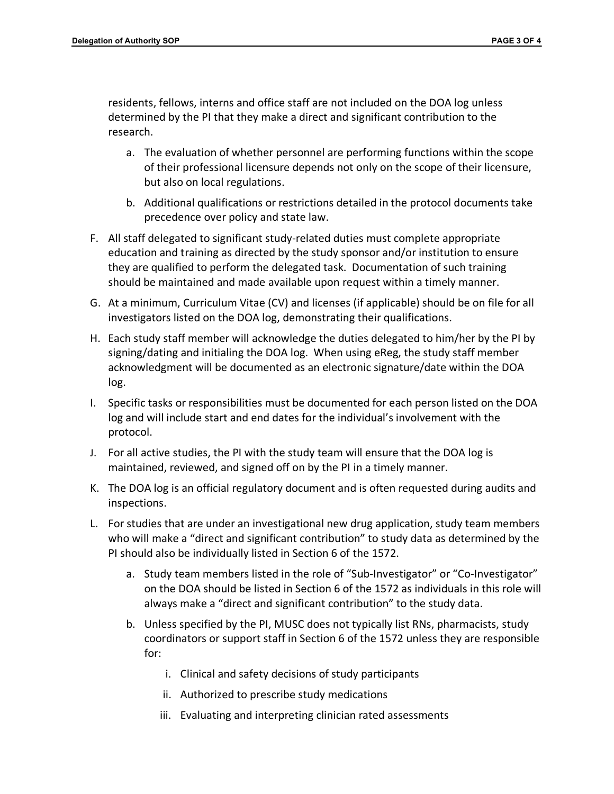residents, fellows, interns and office staff are not included on the DOA log unless determined by the PI that they make a direct and significant contribution to the research.

- a. The evaluation of whether personnel are performing functions within the scope of their professional licensure depends not only on the scope of their licensure, but also on local regulations.
- b. Additional qualifications or restrictions detailed in the protocol documents take precedence over policy and state law.
- F. All staff delegated to significant study-related duties must complete appropriate education and training as directed by the study sponsor and/or institution to ensure they are qualified to perform the delegated task. Documentation of such training should be maintained and made available upon request within a timely manner.
- G. At a minimum, Curriculum Vitae (CV) and licenses (if applicable) should be on file for all investigators listed on the DOA log, demonstrating their qualifications.
- H. Each study staff member will acknowledge the duties delegated to him/her by the PI by signing/dating and initialing the DOA log. When using eReg, the study staff member acknowledgment will be documented as an electronic signature/date within the DOA log.
- I. Specific tasks or responsibilities must be documented for each person listed on the DOA log and will include start and end dates for the individual's involvement with the protocol.
- J. For all active studies, the PI with the study team will ensure that the DOA log is maintained, reviewed, and signed off on by the PI in a timely manner.
- K. The DOA log is an official regulatory document and is often requested during audits and inspections.
- L. For studies that are under an investigational new drug application, study team members who will make a "direct and significant contribution" to study data as determined by the PI should also be individually listed in Section 6 of the 1572.
	- a. Study team members listed in the role of "Sub-Investigator" or "Co-Investigator" on the DOA should be listed in Section 6 of the 1572 as individuals in this role will always make a "direct and significant contribution" to the study data.
	- b. Unless specified by the PI, MUSC does not typically list RNs, pharmacists, study coordinators or support staff in Section 6 of the 1572 unless they are responsible for:
		- i. Clinical and safety decisions of study participants
		- ii. Authorized to prescribe study medications
		- iii. Evaluating and interpreting clinician rated assessments